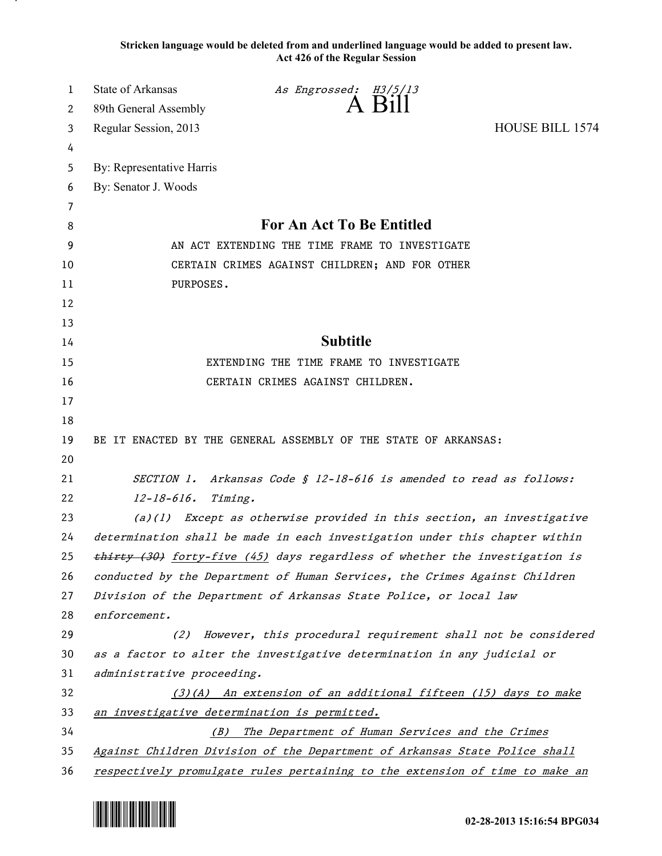**Stricken language would be deleted from and underlined language would be added to present law. Act 426 of the Regular Session**

| 1  | <b>State of Arkansas</b>                                                     | As Engrossed: H3/5/13                                        |                        |
|----|------------------------------------------------------------------------------|--------------------------------------------------------------|------------------------|
| 2  | 89th General Assembly                                                        | $A$ Bill                                                     |                        |
| 3  | Regular Session, 2013                                                        |                                                              | <b>HOUSE BILL 1574</b> |
| 4  |                                                                              |                                                              |                        |
| 5  | By: Representative Harris                                                    |                                                              |                        |
| 6  | By: Senator J. Woods                                                         |                                                              |                        |
| 7  |                                                                              |                                                              |                        |
| 8  | For An Act To Be Entitled                                                    |                                                              |                        |
| 9  | AN ACT EXTENDING THE TIME FRAME TO INVESTIGATE                               |                                                              |                        |
| 10 | CERTAIN CRIMES AGAINST CHILDREN; AND FOR OTHER                               |                                                              |                        |
| 11 | PURPOSES.                                                                    |                                                              |                        |
| 12 |                                                                              |                                                              |                        |
| 13 |                                                                              |                                                              |                        |
| 14 | <b>Subtitle</b>                                                              |                                                              |                        |
| 15 | EXTENDING THE TIME FRAME TO INVESTIGATE                                      |                                                              |                        |
| 16 | CERTAIN CRIMES AGAINST CHILDREN.                                             |                                                              |                        |
| 17 |                                                                              |                                                              |                        |
| 18 |                                                                              |                                                              |                        |
| 19 | BE IT ENACTED BY THE GENERAL ASSEMBLY OF THE STATE OF ARKANSAS:              |                                                              |                        |
| 20 |                                                                              |                                                              |                        |
| 21 | SECTION 1. Arkansas Code § 12-18-616 is amended to read as follows:          |                                                              |                        |
| 22 | $12 - 18 - 616.$<br>Timing.                                                  |                                                              |                        |
| 23 | Except as otherwise provided in this section, an investigative<br>(a)(1)     |                                                              |                        |
| 24 | determination shall be made in each investigation under this chapter within  |                                                              |                        |
| 25 | thirty (30) forty-five (45) days regardless of whether the investigation is  |                                                              |                        |
| 26 | conducted by the Department of Human Services, the Crimes Against Children   |                                                              |                        |
| 27 | Division of the Department of Arkansas State Police, or local law            |                                                              |                        |
| 28 | enforcement.                                                                 |                                                              |                        |
| 29 | (2)                                                                          | However, this procedural requirement shall not be considered |                        |
| 30 | as a factor to alter the investigative determination in any judicial or      |                                                              |                        |
| 31 | administrative proceeding.                                                   |                                                              |                        |
| 32 | (3)(A) An extension of an additional fifteen (15) days to make               |                                                              |                        |
| 33 | an investigative determination is permitted.                                 |                                                              |                        |
| 34 | The Department of Human Services and the Crimes<br>(B)                       |                                                              |                        |
| 35 | Against Children Division of the Department of Arkansas State Police shall   |                                                              |                        |
| 36 | respectively promulgate rules pertaining to the extension of time to make an |                                                              |                        |